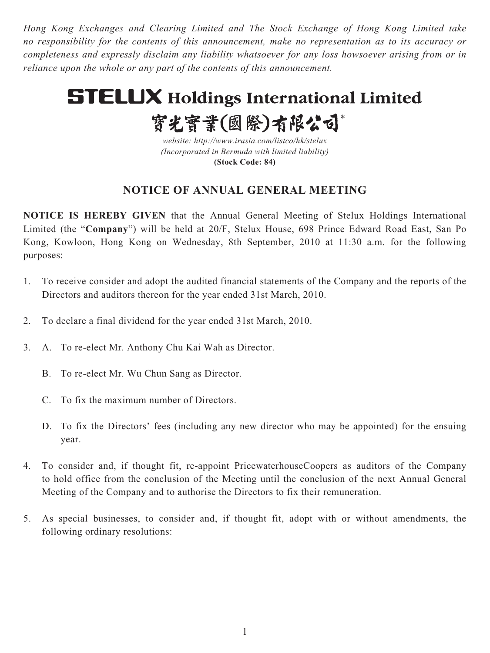*Hong Kong Exchanges and Clearing Limited and The Stock Exchange of Hong Kong Limited take no responsibility for the contents of this announcement, make no representation as to its accuracy or completeness and expressly disclaim any liability whatsoever for any loss howsoever arising from or in reliance upon the whole or any part of the contents of this announcement.*

# **STELUX Holdings International Limited**

實光實業(國際)有限公司\*

*website: http://www.irasia.com/listco/hk/stelux (Incorporated in Bermuda with limited liability)* **(Stock Code: 84)**

# **NOTICE OF ANNUAL GENERAL MEETING**

**NOTICE IS HEREBY GIVEN** that the Annual General Meeting of Stelux Holdings International Limited (the "**Company**") will be held at 20/F, Stelux House, 698 Prince Edward Road East, San Po Kong, Kowloon, Hong Kong on Wednesday, 8th September, 2010 at 11:30 a.m. for the following purposes:

- 1. To receive consider and adopt the audited financial statements of the Company and the reports of the Directors and auditors thereon for the year ended 31st March, 2010.
- 2. To declare a final dividend for the year ended 31st March, 2010.
- 3. A. To re-elect Mr. Anthony Chu Kai Wah as Director.
	- B. To re-elect Mr. Wu Chun Sang as Director.
	- C. To fix the maximum number of Directors.
	- D. To fix the Directors' fees (including any new director who may be appointed) for the ensuing year.
- 4. To consider and, if thought fit, re-appoint PricewaterhouseCoopers as auditors of the Company to hold office from the conclusion of the Meeting until the conclusion of the next Annual General Meeting of the Company and to authorise the Directors to fix their remuneration.
- 5. As special businesses, to consider and, if thought fit, adopt with or without amendments, the following ordinary resolutions: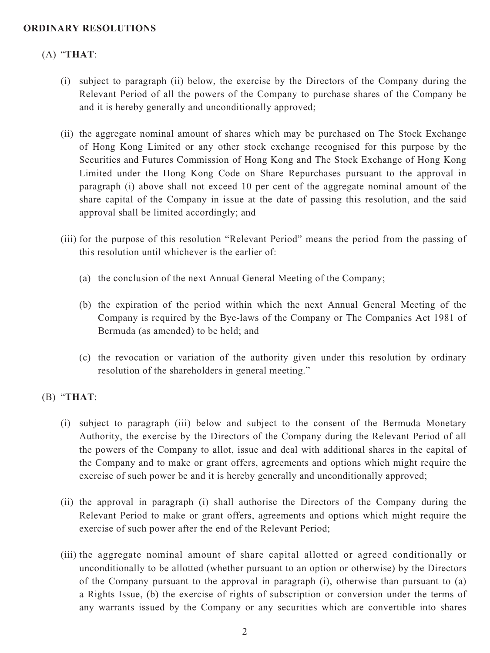### **ORDINARY RESOLUTIONS**

# (A) "**THAT**:

- (i) subject to paragraph (ii) below, the exercise by the Directors of the Company during the Relevant Period of all the powers of the Company to purchase shares of the Company be and it is hereby generally and unconditionally approved;
- (ii) the aggregate nominal amount of shares which may be purchased on The Stock Exchange of Hong Kong Limited or any other stock exchange recognised for this purpose by the Securities and Futures Commission of Hong Kong and The Stock Exchange of Hong Kong Limited under the Hong Kong Code on Share Repurchases pursuant to the approval in paragraph (i) above shall not exceed 10 per cent of the aggregate nominal amount of the share capital of the Company in issue at the date of passing this resolution, and the said approval shall be limited accordingly; and
- (iii) for the purpose of this resolution "Relevant Period" means the period from the passing of this resolution until whichever is the earlier of:
	- (a) the conclusion of the next Annual General Meeting of the Company;
	- (b) the expiration of the period within which the next Annual General Meeting of the Company is required by the Bye-laws of the Company or The Companies Act 1981 of Bermuda (as amended) to be held; and
	- (c) the revocation or variation of the authority given under this resolution by ordinary resolution of the shareholders in general meeting."

# (B) "**THAT**:

- (i) subject to paragraph (iii) below and subject to the consent of the Bermuda Monetary Authority, the exercise by the Directors of the Company during the Relevant Period of all the powers of the Company to allot, issue and deal with additional shares in the capital of the Company and to make or grant offers, agreements and options which might require the exercise of such power be and it is hereby generally and unconditionally approved;
- (ii) the approval in paragraph (i) shall authorise the Directors of the Company during the Relevant Period to make or grant offers, agreements and options which might require the exercise of such power after the end of the Relevant Period;
- (iii) the aggregate nominal amount of share capital allotted or agreed conditionally or unconditionally to be allotted (whether pursuant to an option or otherwise) by the Directors of the Company pursuant to the approval in paragraph (i), otherwise than pursuant to (a) a Rights Issue, (b) the exercise of rights of subscription or conversion under the terms of any warrants issued by the Company or any securities which are convertible into shares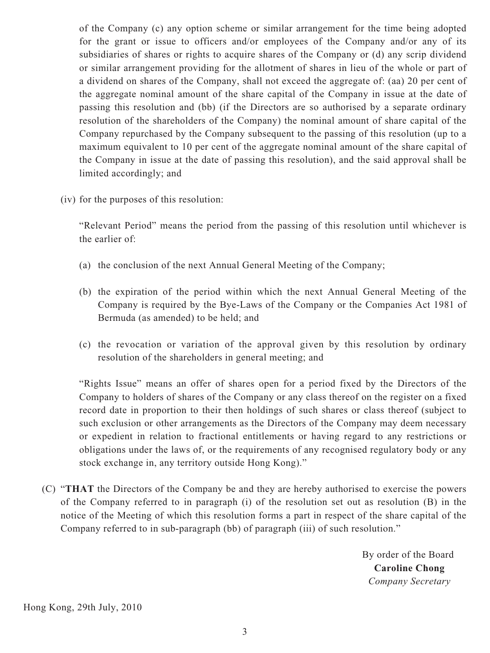of the Company (c) any option scheme or similar arrangement for the time being adopted for the grant or issue to officers and/or employees of the Company and/or any of its subsidiaries of shares or rights to acquire shares of the Company or (d) any scrip dividend or similar arrangement providing for the allotment of shares in lieu of the whole or part of a dividend on shares of the Company, shall not exceed the aggregate of: (aa) 20 per cent of the aggregate nominal amount of the share capital of the Company in issue at the date of passing this resolution and (bb) (if the Directors are so authorised by a separate ordinary resolution of the shareholders of the Company) the nominal amount of share capital of the Company repurchased by the Company subsequent to the passing of this resolution (up to a maximum equivalent to 10 per cent of the aggregate nominal amount of the share capital of the Company in issue at the date of passing this resolution), and the said approval shall be limited accordingly; and

(iv) for the purposes of this resolution:

"Relevant Period" means the period from the passing of this resolution until whichever is the earlier of:

- (a) the conclusion of the next Annual General Meeting of the Company;
- (b) the expiration of the period within which the next Annual General Meeting of the Company is required by the Bye-Laws of the Company or the Companies Act 1981 of Bermuda (as amended) to be held; and
- (c) the revocation or variation of the approval given by this resolution by ordinary resolution of the shareholders in general meeting; and

"Rights Issue" means an offer of shares open for a period fixed by the Directors of the Company to holders of shares of the Company or any class thereof on the register on a fixed record date in proportion to their then holdings of such shares or class thereof (subject to such exclusion or other arrangements as the Directors of the Company may deem necessary or expedient in relation to fractional entitlements or having regard to any restrictions or obligations under the laws of, or the requirements of any recognised regulatory body or any stock exchange in, any territory outside Hong Kong)."

(C) "**THAT** the Directors of the Company be and they are hereby authorised to exercise the powers of the Company referred to in paragraph (i) of the resolution set out as resolution (B) in the notice of the Meeting of which this resolution forms a part in respect of the share capital of the Company referred to in sub-paragraph (bb) of paragraph (iii) of such resolution."

> By order of the Board  **Caroline Chong**  *Company Secretary*

Hong Kong, 29th July, 2010